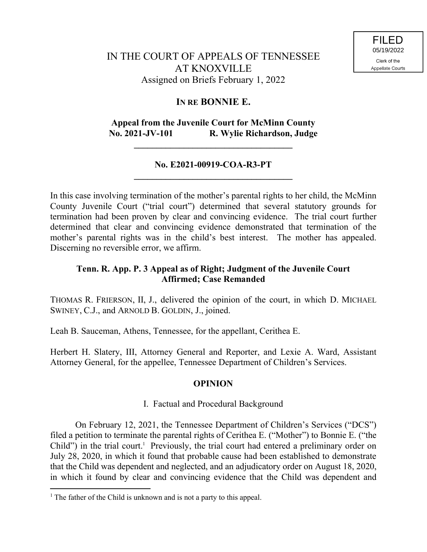# **IN RE BONNIE E.**

# **Appeal from the Juvenile Court for McMinn County No. 2021-JV-101 R. Wylie Richardson, Judge**

**\_\_\_\_\_\_\_\_\_\_\_\_\_\_\_\_\_\_\_\_\_\_\_\_\_\_\_\_\_\_\_\_\_\_\_**

## **No. E2021-00919-COA-R3-PT \_\_\_\_\_\_\_\_\_\_\_\_\_\_\_\_\_\_\_\_\_\_\_\_\_\_\_\_\_\_\_\_\_\_\_**

In this case involving termination of the mother's parental rights to her child, the McMinn County Juvenile Court ("trial court") determined that several statutory grounds for termination had been proven by clear and convincing evidence. The trial court further determined that clear and convincing evidence demonstrated that termination of the mother's parental rights was in the child's best interest. The mother has appealed. Discerning no reversible error, we affirm.

## **Tenn. R. App. P. 3 Appeal as of Right; Judgment of the Juvenile Court Affirmed; Case Remanded**

THOMAS R. FRIERSON, II, J., delivered the opinion of the court, in which D. MICHAEL SWINEY, C.J., and ARNOLD B. GOLDIN, J., joined.

Leah B. Sauceman, Athens, Tennessee, for the appellant, Cerithea E.

Herbert H. Slatery, III, Attorney General and Reporter, and Lexie A. Ward, Assistant Attorney General, for the appellee, Tennessee Department of Children's Services.

## **OPINION**

## I. Factual and Procedural Background

On February 12, 2021, the Tennessee Department of Children's Services ("DCS") filed a petition to terminate the parental rights of Cerithea E. ("Mother") to Bonnie E. ("the Child") in the trial court.<sup>1</sup> Previously, the trial court had entered a preliminary order on July 28, 2020, in which it found that probable cause had been established to demonstrate that the Child was dependent and neglected, and an adjudicatory order on August 18, 2020, in which it found by clear and convincing evidence that the Child was dependent and

 $\overline{a}$ 

<sup>&</sup>lt;sup>1</sup> The father of the Child is unknown and is not a party to this appeal.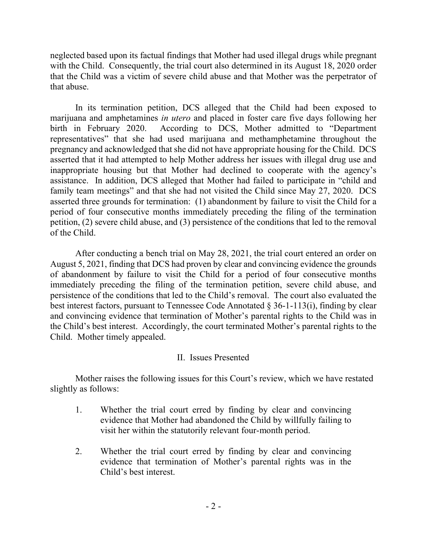neglected based upon its factual findings that Mother had used illegal drugs while pregnant with the Child. Consequently, the trial court also determined in its August 18, 2020 order that the Child was a victim of severe child abuse and that Mother was the perpetrator of that abuse.

In its termination petition, DCS alleged that the Child had been exposed to marijuana and amphetamines *in utero* and placed in foster care five days following her birth in February 2020. According to DCS, Mother admitted to "Department representatives" that she had used marijuana and methamphetamine throughout the pregnancy and acknowledged that she did not have appropriate housing for the Child. DCS asserted that it had attempted to help Mother address her issues with illegal drug use and inappropriate housing but that Mother had declined to cooperate with the agency's assistance. In addition, DCS alleged that Mother had failed to participate in "child and family team meetings" and that she had not visited the Child since May 27, 2020. DCS asserted three grounds for termination: (1) abandonment by failure to visit the Child for a period of four consecutive months immediately preceding the filing of the termination petition, (2) severe child abuse, and (3) persistence of the conditions that led to the removal of the Child.

After conducting a bench trial on May 28, 2021, the trial court entered an order on August 5, 2021, finding that DCS had proven by clear and convincing evidence the grounds of abandonment by failure to visit the Child for a period of four consecutive months immediately preceding the filing of the termination petition, severe child abuse, and persistence of the conditions that led to the Child's removal. The court also evaluated the best interest factors, pursuant to Tennessee Code Annotated § 36-1-113(i), finding by clear and convincing evidence that termination of Mother's parental rights to the Child was in the Child's best interest. Accordingly, the court terminated Mother's parental rights to the Child. Mother timely appealed.

## II. Issues Presented

Mother raises the following issues for this Court's review, which we have restated slightly as follows:

- 1. Whether the trial court erred by finding by clear and convincing evidence that Mother had abandoned the Child by willfully failing to visit her within the statutorily relevant four-month period.
- 2. Whether the trial court erred by finding by clear and convincing evidence that termination of Mother's parental rights was in the Child's best interest.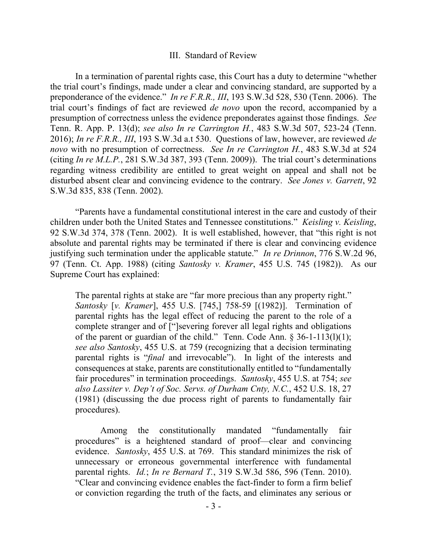#### III. Standard of Review

In a termination of parental rights case, this Court has a duty to determine "whether the trial court's findings, made under a clear and convincing standard, are supported by a preponderance of the evidence." *In re F.R.R., III*, 193 S.W.3d 528, 530 (Tenn. 2006). The trial court's findings of fact are reviewed *de novo* upon the record, accompanied by a presumption of correctness unless the evidence preponderates against those findings. *See*  Tenn. R. App. P. 13(d); *see also In re Carrington H.*, 483 S.W.3d 507, 523-24 (Tenn. 2016); *In re F.R.R., III*, 193 S.W.3d a.t 530. Questions of law, however, are reviewed *de novo* with no presumption of correctness. *See In re Carrington H.*, 483 S.W.3d at 524 (citing *In re M.L.P.*, 281 S.W.3d 387, 393 (Tenn. 2009)). The trial court's determinations regarding witness credibility are entitled to great weight on appeal and shall not be disturbed absent clear and convincing evidence to the contrary. *See Jones v. Garrett*, 92 S.W.3d 835, 838 (Tenn. 2002).

"Parents have a fundamental constitutional interest in the care and custody of their children under both the United States and Tennessee constitutions." *Keisling v. Keisling*, 92 S.W.3d 374, 378 (Tenn. 2002). It is well established, however, that "this right is not absolute and parental rights may be terminated if there is clear and convincing evidence justifying such termination under the applicable statute." *In re Drinnon*, 776 S.W.2d 96, 97 (Tenn. Ct. App. 1988) (citing *Santosky v. Kramer*, 455 U.S. 745 (1982)). As our Supreme Court has explained:

The parental rights at stake are "far more precious than any property right." *Santosky* [*v. Kramer*], 455 U.S. [745,] 758-59 [(1982)]. Termination of parental rights has the legal effect of reducing the parent to the role of a complete stranger and of ["]severing forever all legal rights and obligations of the parent or guardian of the child." Tenn. Code Ann. § 36-1-113(l)(1); *see also Santosky*, 455 U.S. at 759 (recognizing that a decision terminating parental rights is "*final* and irrevocable"). In light of the interests and consequences at stake, parents are constitutionally entitled to "fundamentally fair procedures" in termination proceedings. *Santosky*, 455 U.S. at 754; *see also Lassiter v. Dep't of Soc. Servs. of Durham Cnty, N.C.*, 452 U.S. 18, 27 (1981) (discussing the due process right of parents to fundamentally fair procedures).

Among the constitutionally mandated "fundamentally fair procedures" is a heightened standard of proof—clear and convincing evidence. *Santosky*, 455 U.S. at 769. This standard minimizes the risk of unnecessary or erroneous governmental interference with fundamental parental rights. *Id.*; *In re Bernard T.*, 319 S.W.3d 586, 596 (Tenn. 2010). "Clear and convincing evidence enables the fact-finder to form a firm belief or conviction regarding the truth of the facts, and eliminates any serious or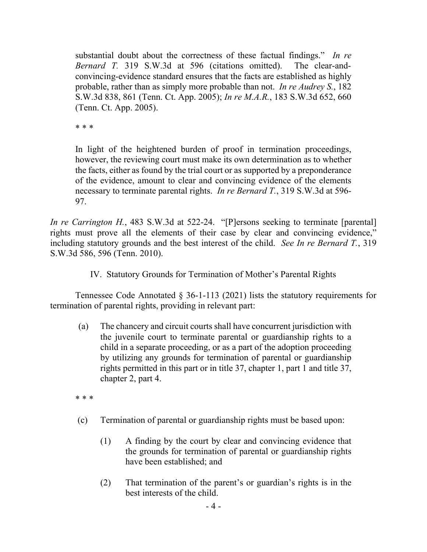substantial doubt about the correctness of these factual findings." *In re Bernard T.* 319 S.W.3d at 596 (citations omitted). The clear-andconvincing-evidence standard ensures that the facts are established as highly probable, rather than as simply more probable than not. *In re Audrey S.*, 182 S.W.3d 838, 861 (Tenn. Ct. App. 2005); *In re M.A.R.*, 183 S.W.3d 652, 660 (Tenn. Ct. App. 2005).

\* \* \*

In light of the heightened burden of proof in termination proceedings, however, the reviewing court must make its own determination as to whether the facts, either as found by the trial court or as supported by a preponderance of the evidence, amount to clear and convincing evidence of the elements necessary to terminate parental rights. *In re Bernard T.*, 319 S.W.3d at 596- 97.

*In re Carrington H.*, 483 S.W.3d at 522-24. "[P]ersons seeking to terminate [parental] rights must prove all the elements of their case by clear and convincing evidence," including statutory grounds and the best interest of the child. *See In re Bernard T.*, 319 S.W.3d 586, 596 (Tenn. 2010).

IV. Statutory Grounds for Termination of Mother's Parental Rights

Tennessee Code Annotated § 36-1-113 (2021) lists the statutory requirements for termination of parental rights, providing in relevant part:

(a) The chancery and circuit courts shall have concurrent jurisdiction with the juvenile court to terminate parental or guardianship rights to a child in a separate proceeding, or as a part of the adoption proceeding by utilizing any grounds for termination of parental or guardianship rights permitted in this part or in title 37, chapter 1, part 1 and title 37, chapter 2, part 4.

\* \* \*

- (c) Termination of parental or guardianship rights must be based upon:
	- (1) A finding by the court by clear and convincing evidence that the grounds for termination of parental or guardianship rights have been established; and
	- (2) That termination of the parent's or guardian's rights is in the best interests of the child.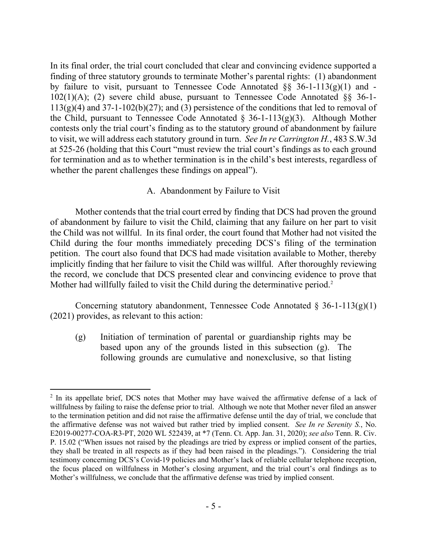In its final order, the trial court concluded that clear and convincing evidence supported a finding of three statutory grounds to terminate Mother's parental rights: (1) abandonment by failure to visit, pursuant to Tennessee Code Annotated  $\S$ § 36-1-113(g)(1) and -102(1)(A); (2) severe child abuse, pursuant to Tennessee Code Annotated §§ 36-1-  $113(g)(4)$  and  $37-1-102(b)(27)$ ; and (3) persistence of the conditions that led to removal of the Child, pursuant to Tennessee Code Annotated  $\S$  36-1-113(g)(3). Although Mother contests only the trial court's finding as to the statutory ground of abandonment by failure to visit, we will address each statutory ground in turn. *See In re Carrington H.*, 483 S.W.3d at 525-26 (holding that this Court "must review the trial court's findings as to each ground for termination and as to whether termination is in the child's best interests, regardless of whether the parent challenges these findings on appeal").

### A. Abandonment by Failure to Visit

Mother contends that the trial court erred by finding that DCS had proven the ground of abandonment by failure to visit the Child, claiming that any failure on her part to visit the Child was not willful. In its final order, the court found that Mother had not visited the Child during the four months immediately preceding DCS's filing of the termination petition. The court also found that DCS had made visitation available to Mother, thereby implicitly finding that her failure to visit the Child was willful. After thoroughly reviewing the record, we conclude that DCS presented clear and convincing evidence to prove that Mother had willfully failed to visit the Child during the determinative period.<sup>2</sup>

Concerning statutory abandonment, Tennessee Code Annotated  $\S$  36-1-113(g)(1) (2021) provides, as relevant to this action:

(g) Initiation of termination of parental or guardianship rights may be based upon any of the grounds listed in this subsection (g). The following grounds are cumulative and nonexclusive, so that listing

 $\overline{a}$ 

 $2$  In its appellate brief, DCS notes that Mother may have waived the affirmative defense of a lack of willfulness by failing to raise the defense prior to trial. Although we note that Mother never filed an answer to the termination petition and did not raise the affirmative defense until the day of trial, we conclude that the affirmative defense was not waived but rather tried by implied consent. *See In re Serenity S.*, No. E2019-00277-COA-R3-PT, 2020 WL 522439, at \*7 (Tenn. Ct. App. Jan. 31, 2020); *see also* Tenn. R. Civ. P. 15.02 ("When issues not raised by the pleadings are tried by express or implied consent of the parties, they shall be treated in all respects as if they had been raised in the pleadings."). Considering the trial testimony concerning DCS's Covid-19 policies and Mother's lack of reliable cellular telephone reception, the focus placed on willfulness in Mother's closing argument, and the trial court's oral findings as to Mother's willfulness, we conclude that the affirmative defense was tried by implied consent.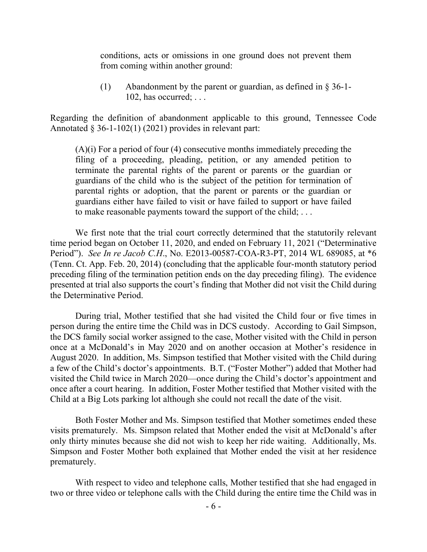conditions, acts or omissions in one ground does not prevent them from coming within another ground:

(1) Abandonment by the parent or guardian, as defined in § 36-1- 102, has occurred; . . .

Regarding the definition of abandonment applicable to this ground, Tennessee Code Annotated  $\S 36-1-102(1)$  (2021) provides in relevant part:

(A)(i) For a period of four (4) consecutive months immediately preceding the filing of a proceeding, pleading, petition, or any amended petition to terminate the parental rights of the parent or parents or the guardian or guardians of the child who is the subject of the petition for termination of parental rights or adoption, that the parent or parents or the guardian or guardians either have failed to visit or have failed to support or have failed to make reasonable payments toward the support of the child; . . .

We first note that the trial court correctly determined that the statutorily relevant time period began on October 11, 2020, and ended on February 11, 2021 ("Determinative Period"). *See In re Jacob C.H*., No. E2013-00587-COA-R3-PT, 2014 WL 689085, at \*6 (Tenn. Ct. App. Feb. 20, 2014) (concluding that the applicable four-month statutory period preceding filing of the termination petition ends on the day preceding filing). The evidence presented at trial also supports the court's finding that Mother did not visit the Child during the Determinative Period.

During trial, Mother testified that she had visited the Child four or five times in person during the entire time the Child was in DCS custody. According to Gail Simpson, the DCS family social worker assigned to the case, Mother visited with the Child in person once at a McDonald's in May 2020 and on another occasion at Mother's residence in August 2020. In addition, Ms. Simpson testified that Mother visited with the Child during a few of the Child's doctor's appointments. B.T. ("Foster Mother") added that Mother had visited the Child twice in March 2020—once during the Child's doctor's appointment and once after a court hearing. In addition, Foster Mother testified that Mother visited with the Child at a Big Lots parking lot although she could not recall the date of the visit.

Both Foster Mother and Ms. Simpson testified that Mother sometimes ended these visits prematurely. Ms. Simpson related that Mother ended the visit at McDonald's after only thirty minutes because she did not wish to keep her ride waiting. Additionally, Ms. Simpson and Foster Mother both explained that Mother ended the visit at her residence prematurely.

With respect to video and telephone calls, Mother testified that she had engaged in two or three video or telephone calls with the Child during the entire time the Child was in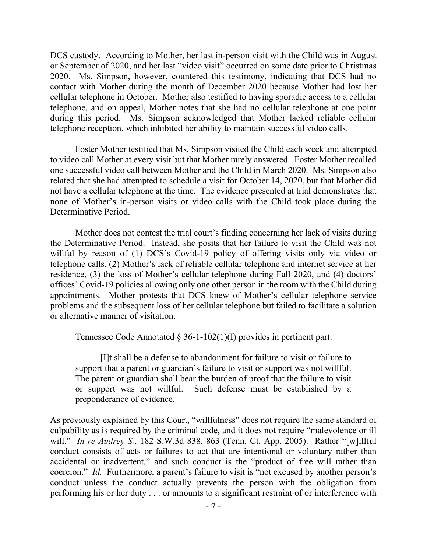DCS custody. According to Mother, her last in-person visit with the Child was in August or September of 2020, and her last "video visit" occurred on some date prior to Christmas 2020. Ms. Simpson, however, countered this testimony, indicating that DCS had no contact with Mother during the month of December 2020 because Mother had lost her cellular telephone in October. Mother also testified to having sporadic access to a cellular telephone, and on appeal, Mother notes that she had no cellular telephone at one point during this period. Ms. Simpson acknowledged that Mother lacked reliable cellular telephone reception, which inhibited her ability to maintain successful video calls.

Foster Mother testified that Ms. Simpson visited the Child each week and attempted to video call Mother at every visit but that Mother rarely answered. Foster Mother recalled one successful video call between Mother and the Child in March 2020. Ms. Simpson also related that she had attempted to schedule a visit for October 14, 2020, but that Mother did not have a cellular telephone at the time. The evidence presented at trial demonstrates that none of Mother's in-person visits or video calls with the Child took place during the Determinative Period.

Mother does not contest the trial court's finding concerning her lack of visits during the Determinative Period. Instead, she posits that her failure to visit the Child was not willful by reason of (1) DCS's Covid-19 policy of offering visits only via video or telephone calls, (2) Mother's lack of reliable cellular telephone and internet service at her residence, (3) the loss of Mother's cellular telephone during Fall 2020, and (4) doctors' offices' Covid-19 policies allowing only one other person in the room with the Child during appointments. Mother protests that DCS knew of Mother's cellular telephone service problems and the subsequent loss of her cellular telephone but failed to facilitate a solution or alternative manner of visitation.

Tennessee Code Annotated § 36-1-102(1)(I) provides in pertinent part:

[I]t shall be a defense to abandonment for failure to visit or failure to support that a parent or guardian's failure to visit or support was not willful. The parent or guardian shall bear the burden of proof that the failure to visit or support was not willful. Such defense must be established by a preponderance of evidence.

As previously explained by this Court, "willfulness" does not require the same standard of culpability as is required by the criminal code, and it does not require "malevolence or ill will." *In re Audrey S.*, 182 S.W.3d 838, 863 (Tenn. Ct. App. 2005). Rather "[w]illful conduct consists of acts or failures to act that are intentional or voluntary rather than accidental or inadvertent," and such conduct is the "product of free will rather than coercion." *Id.* Furthermore, a parent's failure to visit is "not excused by another person's conduct unless the conduct actually prevents the person with the obligation from performing his or her duty . . . or amounts to a significant restraint of or interference with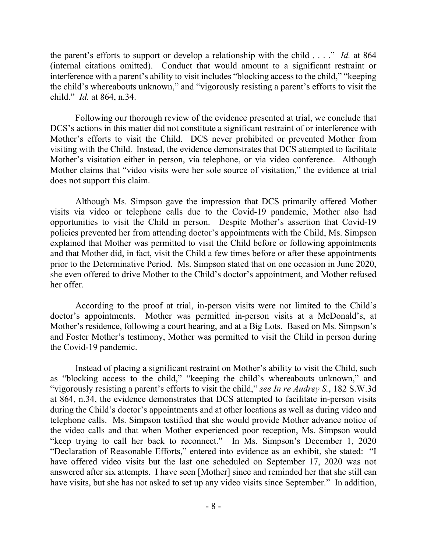the parent's efforts to support or develop a relationship with the child . . . ." *Id.* at 864 (internal citations omitted). Conduct that would amount to a significant restraint or interference with a parent's ability to visit includes "blocking access to the child," "keeping the child's whereabouts unknown," and "vigorously resisting a parent's efforts to visit the child." *Id.* at 864, n.34.

Following our thorough review of the evidence presented at trial, we conclude that DCS's actions in this matter did not constitute a significant restraint of or interference with Mother's efforts to visit the Child. DCS never prohibited or prevented Mother from visiting with the Child. Instead, the evidence demonstrates that DCS attempted to facilitate Mother's visitation either in person, via telephone, or via video conference. Although Mother claims that "video visits were her sole source of visitation," the evidence at trial does not support this claim.

Although Ms. Simpson gave the impression that DCS primarily offered Mother visits via video or telephone calls due to the Covid-19 pandemic, Mother also had opportunities to visit the Child in person. Despite Mother's assertion that Covid-19 policies prevented her from attending doctor's appointments with the Child, Ms. Simpson explained that Mother was permitted to visit the Child before or following appointments and that Mother did, in fact, visit the Child a few times before or after these appointments prior to the Determinative Period. Ms. Simpson stated that on one occasion in June 2020, she even offered to drive Mother to the Child's doctor's appointment, and Mother refused her offer.

According to the proof at trial, in-person visits were not limited to the Child's doctor's appointments. Mother was permitted in-person visits at a McDonald's, at Mother's residence, following a court hearing, and at a Big Lots. Based on Ms. Simpson's and Foster Mother's testimony, Mother was permitted to visit the Child in person during the Covid-19 pandemic.

Instead of placing a significant restraint on Mother's ability to visit the Child, such as "blocking access to the child," "keeping the child's whereabouts unknown," and "vigorously resisting a parent's efforts to visit the child," *see In re Audrey S.*, 182 S.W.3d at 864, n.34, the evidence demonstrates that DCS attempted to facilitate in-person visits during the Child's doctor's appointments and at other locations as well as during video and telephone calls. Ms. Simpson testified that she would provide Mother advance notice of the video calls and that when Mother experienced poor reception, Ms. Simpson would "keep trying to call her back to reconnect." In Ms. Simpson's December 1, 2020 "Declaration of Reasonable Efforts," entered into evidence as an exhibit, she stated: "I have offered video visits but the last one scheduled on September 17, 2020 was not answered after six attempts. I have seen [Mother] since and reminded her that she still can have visits, but she has not asked to set up any video visits since September." In addition,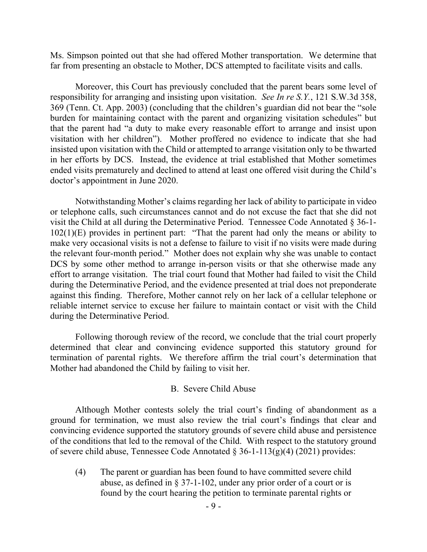Ms. Simpson pointed out that she had offered Mother transportation. We determine that far from presenting an obstacle to Mother, DCS attempted to facilitate visits and calls.

Moreover, this Court has previously concluded that the parent bears some level of responsibility for arranging and insisting upon visitation. *See In re S.Y.*, 121 S.W.3d 358, 369 (Tenn. Ct. App. 2003) (concluding that the children's guardian did not bear the "sole burden for maintaining contact with the parent and organizing visitation schedules" but that the parent had "a duty to make every reasonable effort to arrange and insist upon visitation with her children"). Mother proffered no evidence to indicate that she had insisted upon visitation with the Child or attempted to arrange visitation only to be thwarted in her efforts by DCS. Instead, the evidence at trial established that Mother sometimes ended visits prematurely and declined to attend at least one offered visit during the Child's doctor's appointment in June 2020.

Notwithstanding Mother's claims regarding her lack of ability to participate in video or telephone calls, such circumstances cannot and do not excuse the fact that she did not visit the Child at all during the Determinative Period. Tennessee Code Annotated § 36-1- 102(1)(E) provides in pertinent part: "That the parent had only the means or ability to make very occasional visits is not a defense to failure to visit if no visits were made during the relevant four-month period." Mother does not explain why she was unable to contact DCS by some other method to arrange in-person visits or that she otherwise made any effort to arrange visitation. The trial court found that Mother had failed to visit the Child during the Determinative Period, and the evidence presented at trial does not preponderate against this finding. Therefore, Mother cannot rely on her lack of a cellular telephone or reliable internet service to excuse her failure to maintain contact or visit with the Child during the Determinative Period.

Following thorough review of the record, we conclude that the trial court properly determined that clear and convincing evidence supported this statutory ground for termination of parental rights. We therefore affirm the trial court's determination that Mother had abandoned the Child by failing to visit her.

#### B. Severe Child Abuse

Although Mother contests solely the trial court's finding of abandonment as a ground for termination, we must also review the trial court's findings that clear and convincing evidence supported the statutory grounds of severe child abuse and persistence of the conditions that led to the removal of the Child. With respect to the statutory ground of severe child abuse, Tennessee Code Annotated  $\S 36$ -1-113(g)(4) (2021) provides:

(4) The parent or guardian has been found to have committed severe child abuse, as defined in § 37-1-102, under any prior order of a court or is found by the court hearing the petition to terminate parental rights or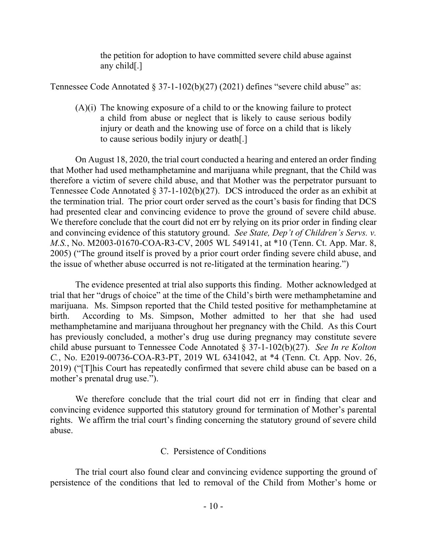the petition for adoption to have committed severe child abuse against any child[.]

Tennessee Code Annotated  $\S 37-1-102(b)(27)$  (2021) defines "severe child abuse" as:

(A)(i) The knowing exposure of a child to or the knowing failure to protect a child from abuse or neglect that is likely to cause serious bodily injury or death and the knowing use of force on a child that is likely to cause serious bodily injury or death[.]

On August 18, 2020, the trial court conducted a hearing and entered an order finding that Mother had used methamphetamine and marijuana while pregnant, that the Child was therefore a victim of severe child abuse, and that Mother was the perpetrator pursuant to Tennessee Code Annotated § 37-1-102(b)(27). DCS introduced the order as an exhibit at the termination trial. The prior court order served as the court's basis for finding that DCS had presented clear and convincing evidence to prove the ground of severe child abuse. We therefore conclude that the court did not err by relying on its prior order in finding clear and convincing evidence of this statutory ground. *See State, Dep't of Children's Servs. v. M.S.*, No. M2003-01670-COA-R3-CV, 2005 WL 549141, at \*10 (Tenn. Ct. App. Mar. 8, 2005) ("The ground itself is proved by a prior court order finding severe child abuse, and the issue of whether abuse occurred is not re-litigated at the termination hearing.")

The evidence presented at trial also supports this finding. Mother acknowledged at trial that her "drugs of choice" at the time of the Child's birth were methamphetamine and marijuana. Ms. Simpson reported that the Child tested positive for methamphetamine at birth. According to Ms. Simpson, Mother admitted to her that she had used methamphetamine and marijuana throughout her pregnancy with the Child. As this Court has previously concluded, a mother's drug use during pregnancy may constitute severe child abuse pursuant to Tennessee Code Annotated § 37-1-102(b)(27). *See In re Kolton C.*, No. E2019-00736-COA-R3-PT, 2019 WL 6341042, at \*4 (Tenn. Ct. App. Nov. 26, 2019) ("[T]his Court has repeatedly confirmed that severe child abuse can be based on a mother's prenatal drug use.").

We therefore conclude that the trial court did not err in finding that clear and convincing evidence supported this statutory ground for termination of Mother's parental rights. We affirm the trial court's finding concerning the statutory ground of severe child abuse.

## C. Persistence of Conditions

The trial court also found clear and convincing evidence supporting the ground of persistence of the conditions that led to removal of the Child from Mother's home or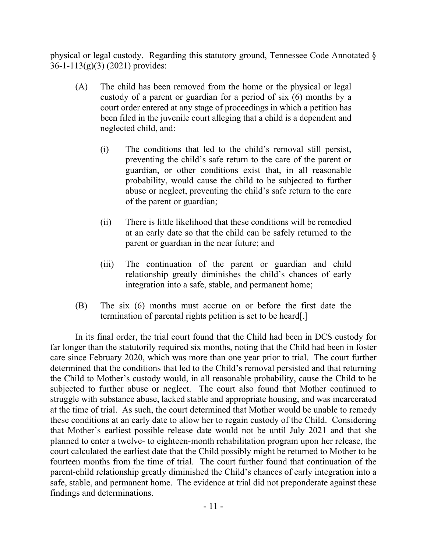physical or legal custody. Regarding this statutory ground, Tennessee Code Annotated § 36-1-113(g)(3) (2021) provides:

- (A) The child has been removed from the home or the physical or legal custody of a parent or guardian for a period of six (6) months by a court order entered at any stage of proceedings in which a petition has been filed in the juvenile court alleging that a child is a dependent and neglected child, and:
	- (i) The conditions that led to the child's removal still persist, preventing the child's safe return to the care of the parent or guardian, or other conditions exist that, in all reasonable probability, would cause the child to be subjected to further abuse or neglect, preventing the child's safe return to the care of the parent or guardian;
	- (ii) There is little likelihood that these conditions will be remedied at an early date so that the child can be safely returned to the parent or guardian in the near future; and
	- (iii) The continuation of the parent or guardian and child relationship greatly diminishes the child's chances of early integration into a safe, stable, and permanent home;
- (B) The six (6) months must accrue on or before the first date the termination of parental rights petition is set to be heard[.]

In its final order, the trial court found that the Child had been in DCS custody for far longer than the statutorily required six months, noting that the Child had been in foster care since February 2020, which was more than one year prior to trial. The court further determined that the conditions that led to the Child's removal persisted and that returning the Child to Mother's custody would, in all reasonable probability, cause the Child to be subjected to further abuse or neglect. The court also found that Mother continued to struggle with substance abuse, lacked stable and appropriate housing, and was incarcerated at the time of trial. As such, the court determined that Mother would be unable to remedy these conditions at an early date to allow her to regain custody of the Child. Considering that Mother's earliest possible release date would not be until July 2021 and that she planned to enter a twelve- to eighteen-month rehabilitation program upon her release, the court calculated the earliest date that the Child possibly might be returned to Mother to be fourteen months from the time of trial. The court further found that continuation of the parent-child relationship greatly diminished the Child's chances of early integration into a safe, stable, and permanent home. The evidence at trial did not preponderate against these findings and determinations.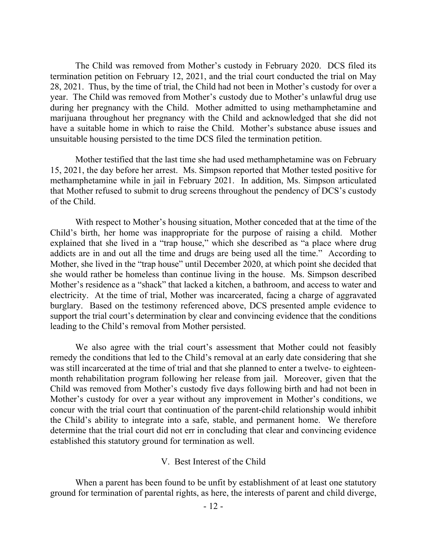The Child was removed from Mother's custody in February 2020. DCS filed its termination petition on February 12, 2021, and the trial court conducted the trial on May 28, 2021. Thus, by the time of trial, the Child had not been in Mother's custody for over a year. The Child was removed from Mother's custody due to Mother's unlawful drug use during her pregnancy with the Child. Mother admitted to using methamphetamine and marijuana throughout her pregnancy with the Child and acknowledged that she did not have a suitable home in which to raise the Child. Mother's substance abuse issues and unsuitable housing persisted to the time DCS filed the termination petition.

Mother testified that the last time she had used methamphetamine was on February 15, 2021, the day before her arrest. Ms. Simpson reported that Mother tested positive for methamphetamine while in jail in February 2021. In addition, Ms. Simpson articulated that Mother refused to submit to drug screens throughout the pendency of DCS's custody of the Child.

With respect to Mother's housing situation, Mother conceded that at the time of the Child's birth, her home was inappropriate for the purpose of raising a child. Mother explained that she lived in a "trap house," which she described as "a place where drug addicts are in and out all the time and drugs are being used all the time." According to Mother, she lived in the "trap house" until December 2020, at which point she decided that she would rather be homeless than continue living in the house. Ms. Simpson described Mother's residence as a "shack" that lacked a kitchen, a bathroom, and access to water and electricity. At the time of trial, Mother was incarcerated, facing a charge of aggravated burglary. Based on the testimony referenced above, DCS presented ample evidence to support the trial court's determination by clear and convincing evidence that the conditions leading to the Child's removal from Mother persisted.

We also agree with the trial court's assessment that Mother could not feasibly remedy the conditions that led to the Child's removal at an early date considering that she was still incarcerated at the time of trial and that she planned to enter a twelve- to eighteenmonth rehabilitation program following her release from jail. Moreover, given that the Child was removed from Mother's custody five days following birth and had not been in Mother's custody for over a year without any improvement in Mother's conditions, we concur with the trial court that continuation of the parent-child relationship would inhibit the Child's ability to integrate into a safe, stable, and permanent home. We therefore determine that the trial court did not err in concluding that clear and convincing evidence established this statutory ground for termination as well.

#### V. Best Interest of the Child

When a parent has been found to be unfit by establishment of at least one statutory ground for termination of parental rights, as here, the interests of parent and child diverge,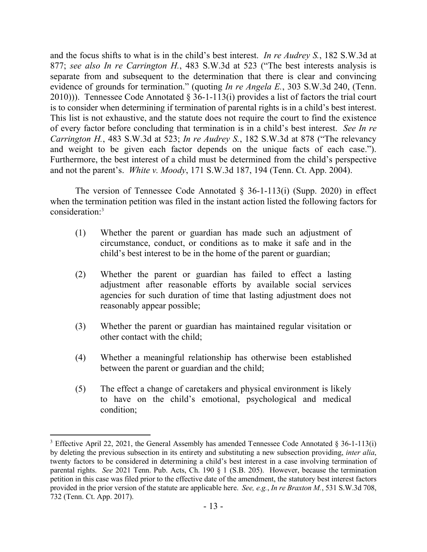and the focus shifts to what is in the child's best interest. *In re Audrey S.*, 182 S.W.3d at 877; *see also In re Carrington H.*, 483 S.W.3d at 523 ("The best interests analysis is separate from and subsequent to the determination that there is clear and convincing evidence of grounds for termination." (quoting *In re Angela E.*, 303 S.W.3d 240, (Tenn. 2010))). Tennessee Code Annotated § 36-1-113(i) provides a list of factors the trial court is to consider when determining if termination of parental rights is in a child's best interest. This list is not exhaustive, and the statute does not require the court to find the existence of every factor before concluding that termination is in a child's best interest. *See In re Carrington H.*, 483 S.W.3d at 523; *In re Audrey S.*, 182 S.W.3d at 878 ("The relevancy and weight to be given each factor depends on the unique facts of each case."). Furthermore, the best interest of a child must be determined from the child's perspective and not the parent's. *White v. Moody*, 171 S.W.3d 187, 194 (Tenn. Ct. App. 2004).

The version of Tennessee Code Annotated  $\S$  36-1-113(i) (Supp. 2020) in effect when the termination petition was filed in the instant action listed the following factors for consideration:<sup>3</sup>

- (1) Whether the parent or guardian has made such an adjustment of circumstance, conduct, or conditions as to make it safe and in the child's best interest to be in the home of the parent or guardian;
- (2) Whether the parent or guardian has failed to effect a lasting adjustment after reasonable efforts by available social services agencies for such duration of time that lasting adjustment does not reasonably appear possible;
- (3) Whether the parent or guardian has maintained regular visitation or other contact with the child;
- (4) Whether a meaningful relationship has otherwise been established between the parent or guardian and the child;
- (5) The effect a change of caretakers and physical environment is likely to have on the child's emotional, psychological and medical condition;

<sup>&</sup>lt;sup>3</sup> Effective April 22, 2021, the General Assembly has amended Tennessee Code Annotated § 36-1-113(i) by deleting the previous subsection in its entirety and substituting a new subsection providing, *inter alia*, twenty factors to be considered in determining a child's best interest in a case involving termination of parental rights. *See* 2021 Tenn. Pub. Acts, Ch. 190 § 1 (S.B. 205). However, because the termination petition in this case was filed prior to the effective date of the amendment, the statutory best interest factors provided in the prior version of the statute are applicable here. *See, e.g.*, *In re Braxton M.*, 531 S.W.3d 708, 732 (Tenn. Ct. App. 2017).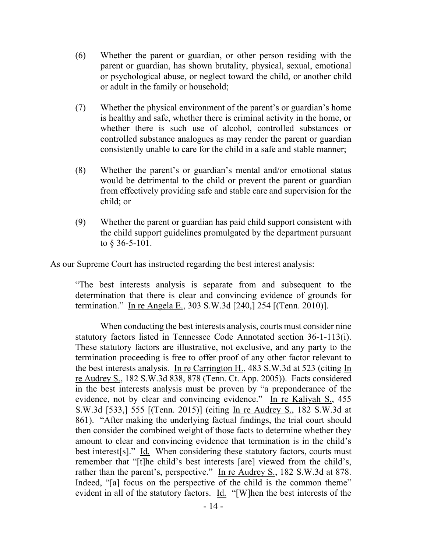- (6) Whether the parent or guardian, or other person residing with the parent or guardian, has shown brutality, physical, sexual, emotional or psychological abuse, or neglect toward the child, or another child or adult in the family or household;
- (7) Whether the physical environment of the parent's or guardian's home is healthy and safe, whether there is criminal activity in the home, or whether there is such use of alcohol, controlled substances or controlled substance analogues as may render the parent or guardian consistently unable to care for the child in a safe and stable manner;
- (8) Whether the parent's or guardian's mental and/or emotional status would be detrimental to the child or prevent the parent or guardian from effectively providing safe and stable care and supervision for the child; or
- (9) Whether the parent or guardian has paid child support consistent with the child support guidelines promulgated by the department pursuant to § 36-5-101.

As our Supreme Court has instructed regarding the best interest analysis:

"The best interests analysis is separate from and subsequent to the determination that there is clear and convincing evidence of grounds for termination." In re Angela E., 303 S.W.3d [240,] 254 [(Tenn. 2010)].

When conducting the best interests analysis, courts must consider nine statutory factors listed in Tennessee Code Annotated section 36-1-113(i). These statutory factors are illustrative, not exclusive, and any party to the termination proceeding is free to offer proof of any other factor relevant to the best interests analysis. In re Carrington H., 483 S.W.3d at 523 (citing In re Audrey S., 182 S.W.3d 838, 878 (Tenn. Ct. App. 2005)). Facts considered in the best interests analysis must be proven by "a preponderance of the evidence, not by clear and convincing evidence." In re Kaliyah S., 455 S.W.3d [533,] 555 [(Tenn. 2015)] (citing In re Audrey S., 182 S.W.3d at 861). "After making the underlying factual findings, the trial court should then consider the combined weight of those facts to determine whether they amount to clear and convincing evidence that termination is in the child's best interest[s]." Id. When considering these statutory factors, courts must remember that "[t]he child's best interests [are] viewed from the child's, rather than the parent's, perspective." In re Audrey S., 182 S.W.3d at 878. Indeed, "[a] focus on the perspective of the child is the common theme" evident in all of the statutory factors. Id. "[W]hen the best interests of the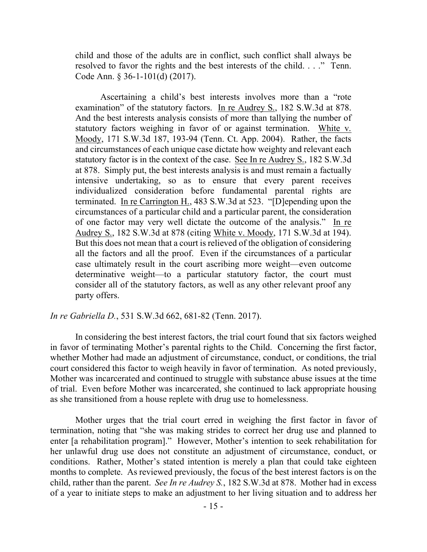child and those of the adults are in conflict, such conflict shall always be resolved to favor the rights and the best interests of the child. . . ." Tenn. Code Ann. § 36-1-101(d) (2017).

Ascertaining a child's best interests involves more than a "rote examination" of the statutory factors. In re Audrey S., 182 S.W.3d at 878. And the best interests analysis consists of more than tallying the number of statutory factors weighing in favor of or against termination. White v. Moody, 171 S.W.3d 187, 193-94 (Tenn. Ct. App. 2004). Rather, the facts and circumstances of each unique case dictate how weighty and relevant each statutory factor is in the context of the case. See In re Audrey S., 182 S.W.3d at 878. Simply put, the best interests analysis is and must remain a factually intensive undertaking, so as to ensure that every parent receives individualized consideration before fundamental parental rights are terminated. In re Carrington H., 483 S.W.3d at 523. "[D] epending upon the circumstances of a particular child and a particular parent, the consideration of one factor may very well dictate the outcome of the analysis." In re Audrey S., 182 S.W.3d at 878 (citing White v. Moody, 171 S.W.3d at 194). But this does not mean that a court is relieved of the obligation of considering all the factors and all the proof. Even if the circumstances of a particular case ultimately result in the court ascribing more weight—even outcome determinative weight—to a particular statutory factor, the court must consider all of the statutory factors, as well as any other relevant proof any party offers.

### *In re Gabriella D.*, 531 S.W.3d 662, 681-82 (Tenn. 2017).

In considering the best interest factors, the trial court found that six factors weighed in favor of terminating Mother's parental rights to the Child. Concerning the first factor, whether Mother had made an adjustment of circumstance, conduct, or conditions, the trial court considered this factor to weigh heavily in favor of termination. As noted previously, Mother was incarcerated and continued to struggle with substance abuse issues at the time of trial. Even before Mother was incarcerated, she continued to lack appropriate housing as she transitioned from a house replete with drug use to homelessness.

Mother urges that the trial court erred in weighing the first factor in favor of termination, noting that "she was making strides to correct her drug use and planned to enter [a rehabilitation program]." However, Mother's intention to seek rehabilitation for her unlawful drug use does not constitute an adjustment of circumstance, conduct, or conditions. Rather, Mother's stated intention is merely a plan that could take eighteen months to complete. As reviewed previously, the focus of the best interest factors is on the child, rather than the parent. *See In re Audrey S.*, 182 S.W.3d at 878. Mother had in excess of a year to initiate steps to make an adjustment to her living situation and to address her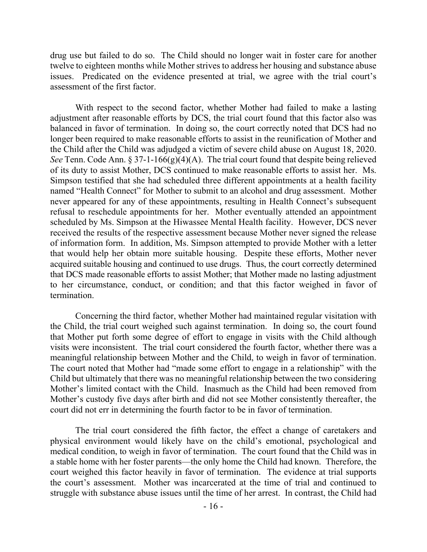drug use but failed to do so. The Child should no longer wait in foster care for another twelve to eighteen months while Mother strives to address her housing and substance abuse issues. Predicated on the evidence presented at trial, we agree with the trial court's assessment of the first factor.

With respect to the second factor, whether Mother had failed to make a lasting adjustment after reasonable efforts by DCS, the trial court found that this factor also was balanced in favor of termination. In doing so, the court correctly noted that DCS had no longer been required to make reasonable efforts to assist in the reunification of Mother and the Child after the Child was adjudged a victim of severe child abuse on August 18, 2020. *See* Tenn. Code Ann. § 37-1-166(g)(4)(A). The trial court found that despite being relieved of its duty to assist Mother, DCS continued to make reasonable efforts to assist her. Ms. Simpson testified that she had scheduled three different appointments at a health facility named "Health Connect" for Mother to submit to an alcohol and drug assessment. Mother never appeared for any of these appointments, resulting in Health Connect's subsequent refusal to reschedule appointments for her. Mother eventually attended an appointment scheduled by Ms. Simpson at the Hiwassee Mental Health facility. However, DCS never received the results of the respective assessment because Mother never signed the release of information form. In addition, Ms. Simpson attempted to provide Mother with a letter that would help her obtain more suitable housing. Despite these efforts, Mother never acquired suitable housing and continued to use drugs. Thus, the court correctly determined that DCS made reasonable efforts to assist Mother; that Mother made no lasting adjustment to her circumstance, conduct, or condition; and that this factor weighed in favor of termination.

Concerning the third factor, whether Mother had maintained regular visitation with the Child, the trial court weighed such against termination. In doing so, the court found that Mother put forth some degree of effort to engage in visits with the Child although visits were inconsistent. The trial court considered the fourth factor, whether there was a meaningful relationship between Mother and the Child, to weigh in favor of termination. The court noted that Mother had "made some effort to engage in a relationship" with the Child but ultimately that there was no meaningful relationship between the two considering Mother's limited contact with the Child. Inasmuch as the Child had been removed from Mother's custody five days after birth and did not see Mother consistently thereafter, the court did not err in determining the fourth factor to be in favor of termination.

The trial court considered the fifth factor, the effect a change of caretakers and physical environment would likely have on the child's emotional, psychological and medical condition, to weigh in favor of termination. The court found that the Child was in a stable home with her foster parents—the only home the Child had known. Therefore, the court weighed this factor heavily in favor of termination. The evidence at trial supports the court's assessment. Mother was incarcerated at the time of trial and continued to struggle with substance abuse issues until the time of her arrest. In contrast, the Child had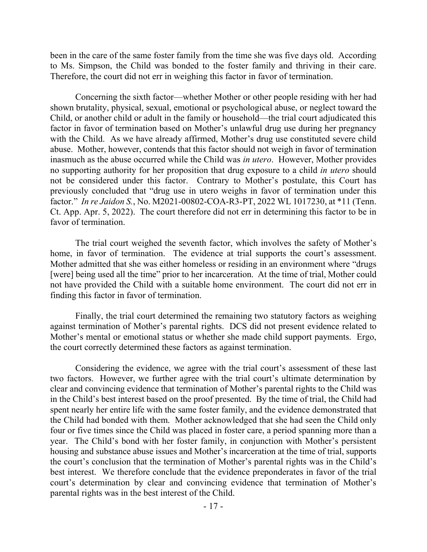been in the care of the same foster family from the time she was five days old. According to Ms. Simpson, the Child was bonded to the foster family and thriving in their care. Therefore, the court did not err in weighing this factor in favor of termination.

Concerning the sixth factor—whether Mother or other people residing with her had shown brutality, physical, sexual, emotional or psychological abuse, or neglect toward the Child, or another child or adult in the family or household—the trial court adjudicated this factor in favor of termination based on Mother's unlawful drug use during her pregnancy with the Child. As we have already affirmed, Mother's drug use constituted severe child abuse. Mother, however, contends that this factor should not weigh in favor of termination inasmuch as the abuse occurred while the Child was *in utero*. However, Mother provides no supporting authority for her proposition that drug exposure to a child *in utero* should not be considered under this factor. Contrary to Mother's postulate, this Court has previously concluded that "drug use in utero weighs in favor of termination under this factor." *In re Jaidon S.*, No. M2021-00802-COA-R3-PT, 2022 WL 1017230, at \*11 (Tenn. Ct. App. Apr. 5, 2022). The court therefore did not err in determining this factor to be in favor of termination.

The trial court weighed the seventh factor, which involves the safety of Mother's home, in favor of termination. The evidence at trial supports the court's assessment. Mother admitted that she was either homeless or residing in an environment where "drugs [were] being used all the time" prior to her incarceration. At the time of trial, Mother could not have provided the Child with a suitable home environment. The court did not err in finding this factor in favor of termination.

Finally, the trial court determined the remaining two statutory factors as weighing against termination of Mother's parental rights. DCS did not present evidence related to Mother's mental or emotional status or whether she made child support payments. Ergo, the court correctly determined these factors as against termination.

Considering the evidence, we agree with the trial court's assessment of these last two factors. However, we further agree with the trial court's ultimate determination by clear and convincing evidence that termination of Mother's parental rights to the Child was in the Child's best interest based on the proof presented. By the time of trial, the Child had spent nearly her entire life with the same foster family, and the evidence demonstrated that the Child had bonded with them. Mother acknowledged that she had seen the Child only four or five times since the Child was placed in foster care, a period spanning more than a year. The Child's bond with her foster family, in conjunction with Mother's persistent housing and substance abuse issues and Mother's incarceration at the time of trial, supports the court's conclusion that the termination of Mother's parental rights was in the Child's best interest. We therefore conclude that the evidence preponderates in favor of the trial court's determination by clear and convincing evidence that termination of Mother's parental rights was in the best interest of the Child.